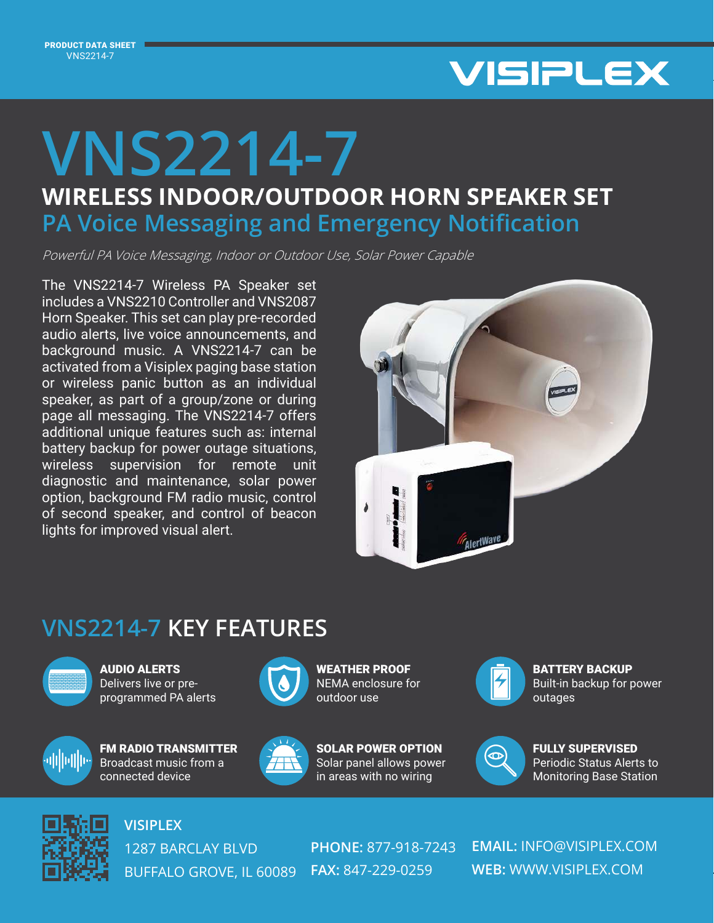# **VISIPLEX**

## **WIRELESS INDOOR/OUTDOOR HORN SPEAKER SET VNS2214-7 PA Voice Messaging and Emergency Notification**

Powerful PA Voice Messaging, Indoor or Outdoor Use, Solar Power Capable

The VNS2214-7 Wireless PA Speaker set includes a VNS2210 Controller and VNS2087 Horn Speaker. This set can play pre-recorded audio alerts, live voice announcements, and background music. A VNS2214-7 can be activated from a Visiplex paging base station or wireless panic button as an individual speaker, as part of a group/zone or during page all messaging. The VNS2214-7 offers additional unique features such as: internal battery backup for power outage situations, wireless supervision for remote unit diagnostic and maintenance, solar power option, background FM radio music, control of second speaker, and control of beacon lights for improved visual alert.



#### **VNS2214-7 KEY FEATURES**



AUDIO ALERTS Delivers live or preprogrammed PA alerts



FM RADIO TRANSMITTER Broadcast music from a connected device



WEATHER PROOF NEMA enclosure for outdoor use



SOLAR POWER OPTION Solar panel allows power in areas with no wiring



BATTERY BACKUP Built-in backup for power outages



FULLY SUPERVISED Periodic Status Alerts to Monitoring Base Station



**VISIPLEX**

1287 BARCLAY BLVD BUFFALO GROVE, IL 60089 **FAX:** 847-229-0259

**PHONE:** 877-918-7243

**EMAIL:** INFO@VISIPLEX.COM **WEB:** WWW.VISIPLEX.COM